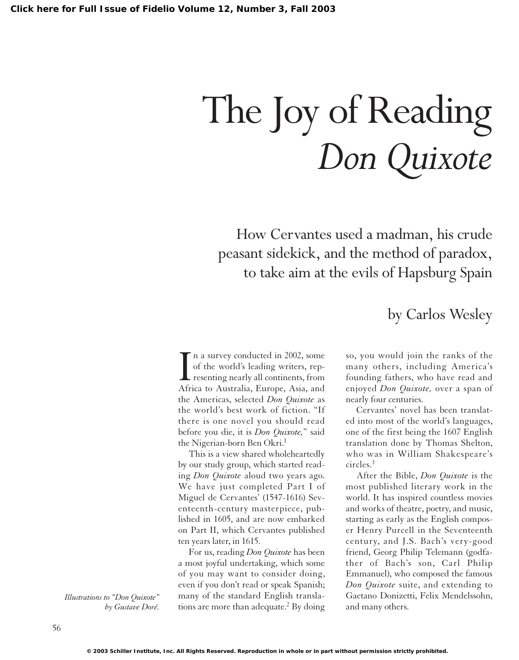# The Joy of Reading *Don Quixote*

How Cervantes used a madman, his crude peasant sidekick, and the method of paradox, to take aim at the evils of Hapsburg Spain

In a survey conducted in 2002, some<br>of the world's leading writers, rep-<br>resenting nearly all continents, from<br>Africa to Australia, Europe, Asia, and n a survey conducted in 2002, some of the world's leading writers, representing nearly all continents, from the Americas, selected *Don Quixote* as the world's best work of fiction. "If there is one novel you should read before you die, it is *Don Quixote,*" said the Nigerian-born Ben Okri.<sup>1</sup>

This is a view shared wholeheartedly by our study group, which started reading *Don Quixote* aloud two years ago. We have just completed Part I of Miguel de Cervantes' (1547-1616) Seventeenth-century masterpiece, published in 1605, and are now embarked on Part II, which Cervantes published ten years later, in 1615.

For us, reading *Don Quixote* has been a most joyful undertaking, which some of you may want to consider doing, even if you don't read or speak Spanish; many of the standard English translations are more than adequate.<sup>2</sup> By doing by Carlos Wesley

so, you would join the ranks of the many others, including America's founding fathers, who have read and enjoyed *Don Quixote,* over a span of nearly four centuries.

Cervantes' novel has been translated into most of the world's languages, one of the first being the 1607 English translation done by Thomas Shelton, who was in William Shakespeare's circles.<sup>3</sup>

After the Bible, *Don Quixote* is the most published literary work in the world. It has inspired countless movies and works of theatre, poetry, and music, starting as early as the English composer Henry Purcell in the Seventeenth century, and J.S. Bach's very-good friend, Georg Philip Telemann (godfather of Bach's son, Carl Philip Emmanuel), who composed the famous *Don Quixote* suite, and extending to Gaetano Donizetti, Felix Mendelssohn, and many others.

*Illustrations to "Don Quixote" by Gustave Doré.*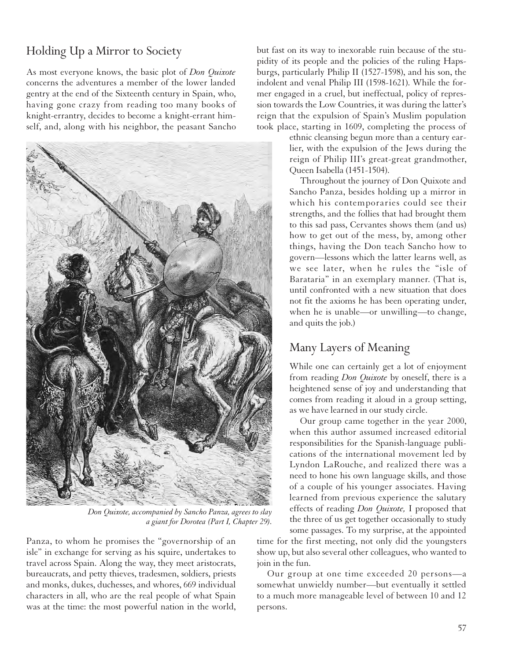## Holding Up a Mirror to Society

As most everyone knows, the basic plot of *Don Quixote* concerns the adventures a member of the lower landed gentry at the end of the Sixteenth century in Spain, who, having gone crazy from reading too many books of knight-errantry, decides to become a knight-errant himself, and, along with his neighbor, the peasant Sancho



*Don Quixote, accompanied by Sancho Panza, agrees to slay a giant for Dorotea (Part I, Chapter 29).*

Panza, to whom he promises the "governorship of an isle" in exchange for serving as his squire, undertakes to travel across Spain. Along the way, they meet aristocrats, bureaucrats, and petty thieves, tradesmen, soldiers, priests and monks, dukes, duchesses, and whores, 669 individual characters in all, who are the real people of what Spain was at the time: the most powerful nation in the world, but fast on its way to inexorable ruin because of the stupidity of its people and the policies of the ruling Hapsburgs, particularly Philip II (1527-1598), and his son, the indolent and venal Philip III (1598-1621). While the former engaged in a cruel, but ineffectual, policy of repression towards the Low Countries, it was during the latter's reign that the expulsion of Spain's Muslim population took place, starting in 1609, completing the process of

> ethnic cleansing begun more than a century earlier, with the expulsion of the Jews during the reign of Philip III's great-great grandmother, Queen Isabella (1451-1504).

> Throughout the journey of Don Quixote and Sancho Panza, besides holding up a mirror in which his contemporaries could see their strengths, and the follies that had brought them to this sad pass, Cervantes shows them (and us) how to get out of the mess, by, among other things, having the Don teach Sancho how to govern—lessons which the latter learns well, as we see later, when he rules the "isle of Barataria" in an exemplary manner. (That is, until confronted with a new situation that does not fit the axioms he has been operating under, when he is unable—or unwilling—to change, and quits the job.)

#### Many Layers of Meaning

While one can certainly get a lot of enjoyment from reading *Don Quixote* by oneself, there is a heightened sense of joy and understanding that comes from reading it aloud in a group setting, as we have learned in our study circle.

Our group came together in the year 2000, when this author assumed increased editorial responsibilities for the Spanish-language publications of the international movement led by Lyndon LaRouche, and realized there was a need to hone his own language skills, and those of a couple of his younger associates. Having learned from previous experience the salutary effects of reading *Don Quixote,* I proposed that the three of us get together occasionally to study some passages. To my surprise, at the appointed

time for the first meeting, not only did the youngsters show up, but also several other colleagues, who wanted to join in the fun.

Our group at one time exceeded 20 persons—a somewhat unwieldy number—but eventually it settled to a much more manageable level of between 10 and 12 persons.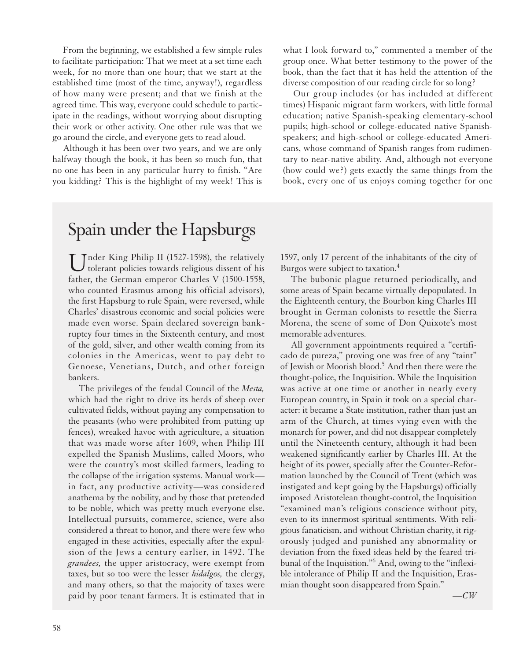From the beginning, we established a few simple rules to facilitate participation: That we meet at a set time each week, for no more than one hour; that we start at the established time (most of the time, anyway!), regardless of how many were present; and that we finish at the agreed time. This way, everyone could schedule to participate in the readings, without worrying about disrupting their work or other activity. One other rule was that we go around the circle, and everyone gets to read aloud.

Although it has been over two years, and we are only halfway though the book, it has been so much fun, that no one has been in any particular hurry to finish. "Are you kidding? This is the highlight of my week! This is

# Spain under the Hapsburgs

 $\prod_{\text{folarent}}$  Euler King Philip II (1527-1598), the relatively tolerant policies towards religious dissent of his father, the German emperor Charles V (1500-1558, who counted Erasmus among his official advisors), the first Hapsburg to rule Spain, were reversed, while Charles' disastrous economic and social policies were made even worse. Spain declared sovereign bankruptcy four times in the Sixteenth century, and most of the gold, silver, and other wealth coming from its colonies in the Americas, went to pay debt to Genoese, Venetians, Dutch, and other foreign bankers.

The privileges of the feudal Council of the *Mesta,* which had the right to drive its herds of sheep over cultivated fields, without paying any compensation to the peasants (who were prohibited from putting up fences), wreaked havoc with agriculture, a situation that was made worse after 1609, when Philip III expelled the Spanish Muslims, called Moors, who were the country's most skilled farmers, leading to the collapse of the irrigation systems. Manual work in fact, any productive activity—was considered anathema by the nobility, and by those that pretended to be noble, which was pretty much everyone else. Intellectual pursuits, commerce, science, were also considered a threat to honor, and there were few who engaged in these activities, especially after the expulsion of the Jews a century earlier, in 1492. The *grandees,* the upper aristocracy, were exempt from taxes, but so too were the lesser *hidalgos,* the clergy, and many others, so that the majority of taxes were paid by poor tenant farmers. It is estimated that in

what I look forward to," commented a member of the group once. What better testimony to the power of the book, than the fact that it has held the attention of the diverse composition of our reading circle for so long?

Our group includes (or has included at different times) Hispanic migrant farm workers, with little formal education; native Spanish-speaking elementary-school pupils; high-school or college-educated native Spanishspeakers; and high-school or college-educated Americans, whose command of Spanish ranges from rudimentary to near-native ability. And, although not everyone (how could we?) gets exactly the same things from the book, every one of us enjoys coming together for one

1597, only 17 percent of the inhabitants of the city of Burgos were subject to taxation.4

The bubonic plague returned periodically, and some areas of Spain became virtually depopulated. In the Eighteenth century, the Bourbon king Charles III brought in German colonists to resettle the Sierra Morena, the scene of some of Don Quixote's most memorable adventures.

All government appointments required a "certificado de pureza," proving one was free of any "taint" of Jewish or Moorish blood.<sup>5</sup> And then there were the thought-police, the Inquisition. While the Inquisition was active at one time or another in nearly every European country, in Spain it took on a special character: it became a State institution, rather than just an arm of the Church, at times vying even with the monarch for power, and did not disappear completely until the Nineteenth century, although it had been weakened significantly earlier by Charles III. At the height of its power, specially after the Counter-Reformation launched by the Council of Trent (which was instigated and kept going by the Hapsburgs) officially imposed Aristotelean thought-control, the Inquisition "examined man's religious conscience without pity, even to its innermost spiritual sentiments. With religious fanaticism, and without Christian charity, it rigorously judged and punished any abnormality or deviation from the fixed ideas held by the feared tribunal of the Inquisition."6 And, owing to the "inflexible intolerance of Philip II and the Inquisition, Erasmian thought soon disappeared from Spain."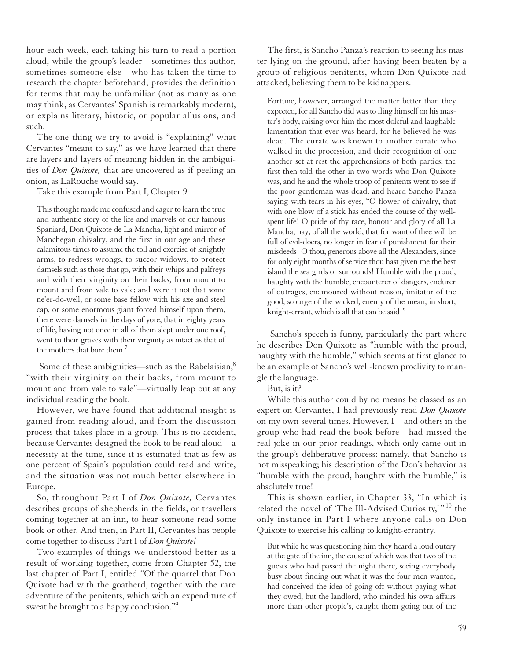hour each week, each taking his turn to read a portion aloud, while the group's leader—sometimes this author, sometimes someone else—who has taken the time to research the chapter beforehand, provides the definition for terms that may be unfamiliar (not as many as one may think, as Cervantes' Spanish is remarkably modern), or explains literary, historic, or popular allusions, and such.

The one thing we try to avoid is "explaining" what Cervantes "meant to say," as we have learned that there are layers and layers of meaning hidden in the ambiguities of *Don Quixote,* that are uncovered as if peeling an onion, as LaRouche would say.

Take this example from Part I, Chapter 9:

This thought made me confused and eager to learn the true and authentic story of the life and marvels of our famous Spaniard, Don Quixote de La Mancha, light and mirror of Manchegan chivalry, and the first in our age and these calamitous times to assume the toil and exercise of knightly arms, to redress wrongs, to succor widows, to protect damsels such as those that go, with their whips and palfreys and with their virginity on their backs, from mount to mount and from vale to vale; and were it not that some ne'er-do-well, or some base fellow with his axe and steel cap, or some enormous giant forced himself upon them, there were damsels in the days of yore, that in eighty years of life, having not once in all of them slept under one roof, went to their graves with their virginity as intact as that of the mothers that bore them.7

Some of these ambiguities—such as the Rabelaisian,<sup>8</sup> "with their virginity on their backs, from mount to mount and from vale to vale"—virtually leap out at any individual reading the book.

However, we have found that additional insight is gained from reading aloud, and from the discussion process that takes place in a group. This is no accident, because Cervantes designed the book to be read aloud—a necessity at the time, since it is estimated that as few as one percent of Spain's population could read and write, and the situation was not much better elsewhere in Europe.

So, throughout Part I of *Don Quixote,* Cervantes describes groups of shepherds in the fields, or travellers coming together at an inn, to hear someone read some book or other. And then, in Part II, Cervantes has people come together to discuss Part I of *Don Quixote!*

Two examples of things we understood better as a result of working together, come from Chapter 52, the last chapter of Part I, entitled "Of the quarrel that Don Quixote had with the goatherd, together with the rare adventure of the penitents, which with an expenditure of sweat he brought to a happy conclusion."9

The first, is Sancho Panza's reaction to seeing his master lying on the ground, after having been beaten by a group of religious penitents, whom Don Quixote had attacked, believing them to be kidnappers.

Fortune, however, arranged the matter better than they expected, for all Sancho did was to fling himself on his master's body, raising over him the most doleful and laughable lamentation that ever was heard, for he believed he was dead. The curate was known to another curate who walked in the procession, and their recognition of one another set at rest the apprehensions of both parties; the first then told the other in two words who Don Quixote was, and he and the whole troop of penitents went to see if the poor gentleman was dead, and heard Sancho Panza saying with tears in his eyes, "O flower of chivalry, that with one blow of a stick has ended the course of thy wellspent life! O pride of thy race, honour and glory of all La Mancha, nay, of all the world, that for want of thee will be full of evil-doers, no longer in fear of punishment for their misdeeds! O thou, generous above all the Alexanders, since for only eight months of service thou hast given me the best island the sea girds or surrounds! Humble with the proud, haughty with the humble, encounterer of dangers, endurer of outrages, enamoured without reason, imitator of the good, scourge of the wicked, enemy of the mean, in short, knight-errant, which is all that can be said!"

Sancho's speech is funny, particularly the part where he describes Don Quixote as "humble with the proud, haughty with the humble," which seems at first glance to be an example of Sancho's well-known proclivity to mangle the language.

But, is it?

While this author could by no means be classed as an expert on Cervantes, I had previously read *Don Quixote* on my own several times. However, I—and others in the group who had read the book before—had missed the real joke in our prior readings, which only came out in the group's deliberative process: namely, that Sancho is not misspeaking; his description of the Don's behavior as "humble with the proud, haughty with the humble," is absolutely true!

This is shown earlier, in Chapter 33, "In which is related the novel of 'The Ill-Advised Curiosity,'"<sup>10</sup> the only instance in Part I where anyone calls on Don Quixote to exercise his calling to knight-errantry.

But while he was questioning him they heard a loud outcry at the gate of the inn, the cause of which was that two of the guests who had passed the night there, seeing everybody busy about finding out what it was the four men wanted, had conceived the idea of going off without paying what they owed; but the landlord, who minded his own affairs more than other people's, caught them going out of the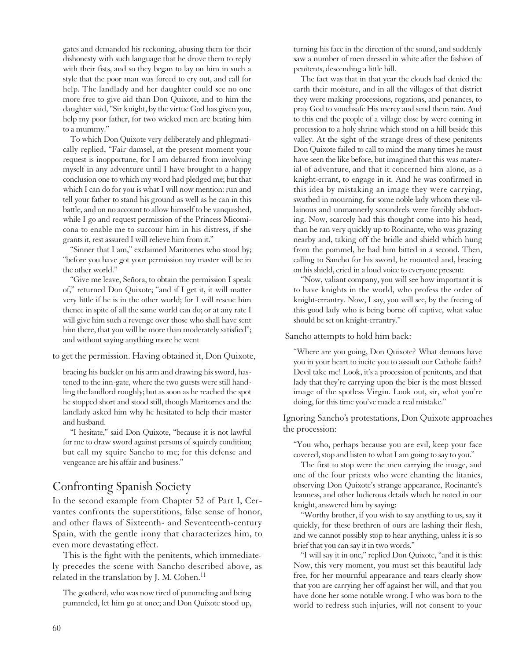gates and demanded his reckoning, abusing them for their dishonesty with such language that he drove them to reply with their fists, and so they began to lay on him in such a style that the poor man was forced to cry out, and call for help. The landlady and her daughter could see no one more free to give aid than Don Quixote, and to him the daughter said, "Sir knight, by the virtue God has given you, help my poor father, for two wicked men are beating him to a mummy."

To which Don Quixote very deliberately and phlegmatically replied, "Fair damsel, at the present moment your request is inopportune, for I am debarred from involving myself in any adventure until I have brought to a happy conclusion one to which my word had pledged me; but that which I can do for you is what I will now mention: run and tell your father to stand his ground as well as he can in this battle, and on no account to allow himself to be vanquished, while I go and request permission of the Princess Micomicona to enable me to succour him in his distress, if she grants it, rest assured I will relieve him from it."

"Sinner that I am," exclaimed Maritornes who stood by; "before you have got your permission my master will be in the other world."

"Give me leave, Señora, to obtain the permission I speak of," returned Don Quixote; "and if I get it, it will matter very little if he is in the other world; for I will rescue him thence in spite of all the same world can do; or at any rate I will give him such a revenge over those who shall have sent him there, that you will be more than moderately satisfied"; and without saying anything more he went

to get the permission. Having obtained it, Don Quixote,

bracing his buckler on his arm and drawing his sword, hastened to the inn-gate, where the two guests were still handling the landlord roughly; but as soon as he reached the spot he stopped short and stood still, though Maritornes and the landlady asked him why he hesitated to help their master and husband.

"I hesitate," said Don Quixote, "because it is not lawful for me to draw sword against persons of squirely condition; but call my squire Sancho to me; for this defense and vengeance are his affair and business."

### Confronting Spanish Society

In the second example from Chapter 52 of Part I, Cervantes confronts the superstitions, false sense of honor, and other flaws of Sixteenth- and Seventeenth-century Spain, with the gentle irony that characterizes him, to even more devastating effect.

This is the fight with the penitents, which immediately precedes the scene with Sancho described above, as related in the translation by J. M. Cohen.<sup>11</sup>

The goatherd, who was now tired of pummeling and being pummeled, let him go at once; and Don Quixote stood up, turning his face in the direction of the sound, and suddenly saw a number of men dressed in white after the fashion of penitents, descending a little hill.

The fact was that in that year the clouds had denied the earth their moisture, and in all the villages of that district they were making processions, rogations, and penances, to pray God to vouchsafe His mercy and send them rain. And to this end the people of a village close by were coming in procession to a holy shrine which stood on a hill beside this valley. At the sight of the strange dress of these penitents Don Quixote failed to call to mind the many times he must have seen the like before, but imagined that this was material of adventure, and that it concerned him alone, as a knight-errant, to engage in it. And he was confirmed in this idea by mistaking an image they were carrying, swathed in mourning, for some noble lady whom these villainous and unmannerly scoundrels were forcibly abducting. Now, scarcely had this thought come into his head, than he ran very quickly up to Rocinante, who was grazing nearby and, taking off the bridle and shield which hung from the pommel, he had him bitted in a second. Then, calling to Sancho for his sword, he mounted and, bracing on his shield, cried in a loud voice to everyone present:

"Now, valiant company, you will see how important it is to have knights in the world, who profess the order of knight-errantry. Now, I say, you will see, by the freeing of this good lady who is being borne off captive, what value should be set on knight-errantry."

Sancho attempts to hold him back:

"Where are you going, Don Quixote? What demons have you in your heart to incite you to assault our Catholic faith? Devil take me! Look, it's a procession of penitents, and that lady that they're carrying upon the bier is the most blessed image of the spotless Virgin. Look out, sir, what you're doing, for this time you've made a real mistake."

Ignoring Sancho's protestations, Don Quixote approaches the procession:

"You who, perhaps because you are evil, keep your face covered, stop and listen to what I am going to say to you."

The first to stop were the men carrying the image, and one of the four priests who were chanting the litanies, observing Don Quixote's strange appearance, Rocinante's leanness, and other ludicrous details which he noted in our knight, answered him by saying:

"Worthy brother, if you wish to say anything to us, say it quickly, for these brethren of ours are lashing their flesh, and we cannot possibly stop to hear anything, unless it is so brief that you can say it in two words."

"I will say it in one," replied Don Quixote, "and it is this: Now, this very moment, you must set this beautiful lady free, for her mournful appearance and tears clearly show that you are carrying her off against her will, and that you have done her some notable wrong. I who was born to the world to redress such injuries, will not consent to your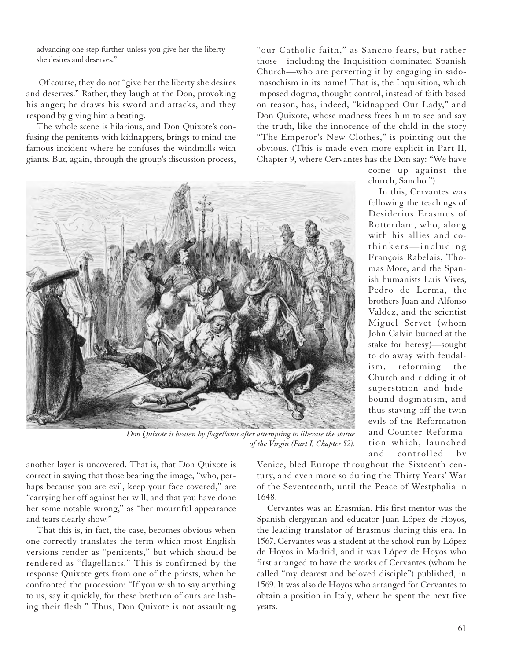advancing one step further unless you give her the liberty she desires and deserves."

Of course, they do not "give her the liberty she desires and deserves." Rather, they laugh at the Don, provoking his anger; he draws his sword and attacks, and they respond by giving him a beating.

The whole scene is hilarious, and Don Quixote's confusing the penitents with kidnappers, brings to mind the famous incident where he confuses the windmills with giants. But, again, through the group's discussion process,

"our Catholic faith," as Sancho fears, but rather those—including the Inquisition-dominated Spanish Church—who are perverting it by engaging in sadomasochism in its name! That is, the Inquisition, which imposed dogma, thought control, instead of faith based on reason, has, indeed, "kidnapped Our Lady," and Don Quixote, whose madness frees him to see and say the truth, like the innocence of the child in the story "The Emperor's New Clothes," is pointing out the obvious. (This is made even more explicit in Part II, Chapter 9, where Cervantes has the Don say: "We have



*Don Quixote is beaten by flagellants after attempting to liberate the statue of the Virgin (Part I, Chapter 52).*

François Rabelais, Thomas More, and the Spanish humanists Luis Vives, Pedro de Lerma, the brothers Juan and Alfonso Valdez, and the scientist Miguel Servet (whom John Calvin burned at the stake for heresy)—sought to do away with feudalism, reforming the Church and ridding it of superstition and hidebound dogmatism, and thus staving off the twin evils of the Reformation and Counter-Reforma-

> tion which, launched and controlled by

> come up against the

In this, Cervantes was following the teachings of Desiderius Erasmus of Rotterdam, who, along with his allies and cothinkers—including

church, Sancho.")

another layer is uncovered. That is, that Don Quixote is correct in saying that those bearing the image, "who, perhaps because you are evil, keep your face covered," are "carrying her off against her will, and that you have done her some notable wrong," as "her mournful appearance and tears clearly show."

That this is, in fact, the case, becomes obvious when one correctly translates the term which most English versions render as "penitents," but which should be rendered as "flagellants." This is confirmed by the response Quixote gets from one of the priests, when he confronted the procession: "If you wish to say anything to us, say it quickly, for these brethren of ours are lashing their flesh." Thus, Don Quixote is not assaulting Venice, bled Europe throughout the Sixteenth century, and even more so during the Thirty Years' War of the Seventeenth, until the Peace of Westphalia in 1648.

Cervantes was an Erasmian. His first mentor was the Spanish clergyman and educator Juan López de Hoyos, the leading translator of Erasmus during this era. In 1567, Cervantes was a student at the school run by López de Hoyos in Madrid, and it was López de Hoyos who first arranged to have the works of Cervantes (whom he called "my dearest and beloved disciple") published, in 1569. It was also de Hoyos who arranged for Cervantes to obtain a position in Italy, where he spent the next five years.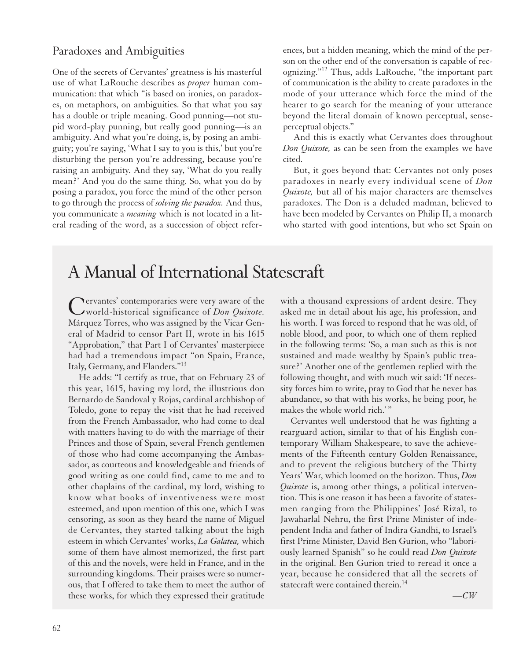#### Paradoxes and Ambiguities

One of the secrets of Cervantes' greatness is his masterful use of what LaRouche describes as *proper* human communication: that which "is based on ironies, on paradoxes, on metaphors, on ambiguities. So that what you say has a double or triple meaning. Good punning—not stupid word-play punning, but really good punning—is an ambiguity. And what you're doing, is, by posing an ambiguity; you're saying, 'What I say to you is this,' but you're disturbing the person you're addressing, because you're raising an ambiguity. And they say, 'What do you really mean?' And you do the same thing. So, what you do by posing a paradox, you force the mind of the other person to go through the process of *solving the paradox.* And thus, you communicate a *meaning* which is not located in a literal reading of the word, as a succession of object references, but a hidden meaning, which the mind of the person on the other end of the conversation is capable of recognizing."12 Thus, adds LaRouche, "the important part of communication is the ability to create paradoxes in the mode of your utterance which force the mind of the hearer to go search for the meaning of your utterance beyond the literal domain of known perceptual, senseperceptual objects."

And this is exactly what Cervantes does throughout *Don Quixote,* as can be seen from the examples we have cited.

But, it goes beyond that: Cervantes not only poses paradoxes in nearly every individual scene of *Don Quixote,* but all of his major characters are themselves paradoxes. The Don is a deluded madman, believed to have been modeled by Cervantes on Philip II, a monarch who started with good intentions, but who set Spain on

## A Manual of International Statescraft

Cervantes' contemporaries were very aware of the<br>World-historical significance of *Don Quixote*. Márquez Torres, who was assigned by the Vicar General of Madrid to censor Part II, wrote in his 1615 "Approbation," that Part I of Cervantes' masterpiece had had a tremendous impact "on Spain, France, Italy, Germany, and Flanders."13

He adds: "I certify as true, that on February 23 of this year, 1615, having my lord, the illustrious don Bernardo de Sandoval y Rojas, cardinal archbishop of Toledo, gone to repay the visit that he had received from the French Ambassador, who had come to deal with matters having to do with the marriage of their Princes and those of Spain, several French gentlemen of those who had come accompanying the Ambassador, as courteous and knowledgeable and friends of good writing as one could find, came to me and to other chaplains of the cardinal, my lord, wishing to know what books of inventiveness were most esteemed, and upon mention of this one, which I was censoring, as soon as they heard the name of Miguel de Cervantes, they started talking about the high esteem in which Cervantes' works, *La Galatea,* which some of them have almost memorized, the first part of this and the novels, were held in France, and in the surrounding kingdoms. Their praises were so numerous, that I offered to take them to meet the author of these works, for which they expressed their gratitude

with a thousand expressions of ardent desire. They asked me in detail about his age, his profession, and his worth. I was forced to respond that he was old, of noble blood, and poor, to which one of them replied in the following terms: 'So, a man such as this is not sustained and made wealthy by Spain's public treasure?' Another one of the gentlemen replied with the following thought, and with much wit said: 'If necessity forces him to write, pray to God that he never has abundance, so that with his works, he being poor, he makes the whole world rich.' "

Cervantes well understood that he was fighting a rearguard action, similar to that of his English contemporary William Shakespeare, to save the achievements of the Fifteenth century Golden Renaissance, and to prevent the religious butchery of the Thirty Years' War, which loomed on the horizon. Thus, *Don Quixote* is, among other things, a political intervention. This is one reason it has been a favorite of statesmen ranging from the Philippines' José Rizal, to Jawaharlal Nehru, the first Prime Minister of independent India and father of Indira Gandhi, to Israel's first Prime Minister, David Ben Gurion, who "laboriously learned Spanish" so he could read *Don Quixote* in the original. Ben Gurion tried to reread it once a year, because he considered that all the secrets of statecraft were contained therein.<sup>14</sup>

*—CW*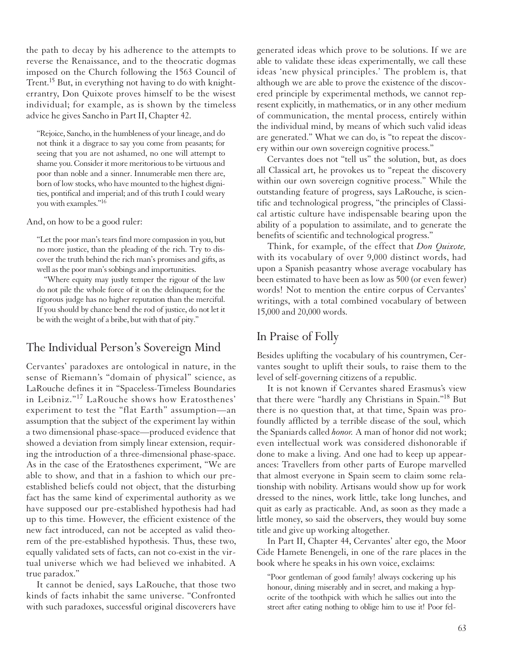the path to decay by his adherence to the attempts to reverse the Renaissance, and to the theocratic dogmas imposed on the Church following the 1563 Council of Trent.<sup>15</sup> But, in everything not having to do with knighterrantry, Don Quixote proves himself to be the wisest individual; for example, as is shown by the timeless advice he gives Sancho in Part II, Chapter 42.

"Rejoice, Sancho, in the humbleness of your lineage, and do not think it a disgrace to say you come from peasants; for seeing that you are not ashamed, no one will attempt to shame you. Consider it more meritorious to be virtuous and poor than noble and a sinner. Innumerable men there are, born of low stocks, who have mounted to the highest dignities, pontifical and imperial; and of this truth I could weary you with examples."16

And, on how to be a good ruler:

"Let the poor man's tears find more compassion in you, but no more justice, than the pleading of the rich. Try to discover the truth behind the rich man's promises and gifts, as well as the poor man's sobbings and importunities.

"Where equity may justly temper the rigour of the law do not pile the whole force of it on the delinquent; for the rigorous judge has no higher reputation than the merciful. If you should by chance bend the rod of justice, do not let it be with the weight of a bribe, but with that of pity."

#### The Individual Person's Sovereign Mind

Cervantes' paradoxes are ontological in nature, in the sense of Riemann's "domain of physical" science, as LaRouche defines it in "Spaceless-Timeless Boundaries in Leibniz."<sup>17</sup> LaRouche shows how Eratosthenes' experiment to test the "flat Earth" assumption—an assumption that the subject of the experiment lay within a two dimensional phase-space—produced evidence that showed a deviation from simply linear extension, requiring the introduction of a three-dimensional phase-space. As in the case of the Eratosthenes experiment, "We are able to show, and that in a fashion to which our preestablished beliefs could not object, that the disturbing fact has the same kind of experimental authority as we have supposed our pre-established hypothesis had had up to this time. However, the efficient existence of the new fact introduced, can not be accepted as valid theorem of the pre-established hypothesis. Thus, these two, equally validated sets of facts, can not co-exist in the virtual universe which we had believed we inhabited. A true paradox."

It cannot be denied, says LaRouche, that those two kinds of facts inhabit the same universe. "Confronted with such paradoxes, successful original discoverers have generated ideas which prove to be solutions. If we are able to validate these ideas experimentally, we call these ideas 'new physical principles.' The problem is, that although we are able to prove the existence of the discovered principle by experimental methods, we cannot represent explicitly, in mathematics, or in any other medium of communication, the mental process, entirely within the individual mind, by means of which such valid ideas are generated." What we can do, is "to repeat the discovery within our own sovereign cognitive process."

Cervantes does not "tell us" the solution, but, as does all Classical art, he provokes us to "repeat the discovery within our own sovereign cognitive process." While the outstanding feature of progress, says LaRouche, is scientific and technological progress, "the principles of Classical artistic culture have indispensable bearing upon the ability of a population to assimilate, and to generate the benefits of scientific and technological progress."

Think, for example, of the effect that *Don Quixote,* with its vocabulary of over 9,000 distinct words, had upon a Spanish peasantry whose average vocabulary has been estimated to have been as low as 500 (or even fewer) words! Not to mention the entire corpus of Cervantes' writings, with a total combined vocabulary of between 15,000 and 20,000 words.

#### In Praise of Folly

Besides uplifting the vocabulary of his countrymen, Cervantes sought to uplift their souls, to raise them to the level of self-governing citizens of a republic.

It is not known if Cervantes shared Erasmus's view that there were "hardly any Christians in Spain."18 But there is no question that, at that time, Spain was profoundly afflicted by a terrible disease of the soul, which the Spaniards called *honor.* A man of honor did not work; even intellectual work was considered dishonorable if done to make a living. And one had to keep up appearances: Travellers from other parts of Europe marvelled that almost everyone in Spain seem to claim some relationship with nobility. Artisans would show up for work dressed to the nines, work little, take long lunches, and quit as early as practicable. And, as soon as they made a little money, so said the observers, they would buy some title and give up working altogether.

In Part II, Chapter 44, Cervantes' alter ego, the Moor Cide Hamete Benengeli, in one of the rare places in the book where he speaks in his own voice, exclaims:

"Poor gentleman of good family! always cockering up his honour, dining miserably and in secret, and making a hypocrite of the toothpick with which he sallies out into the street after eating nothing to oblige him to use it! Poor fel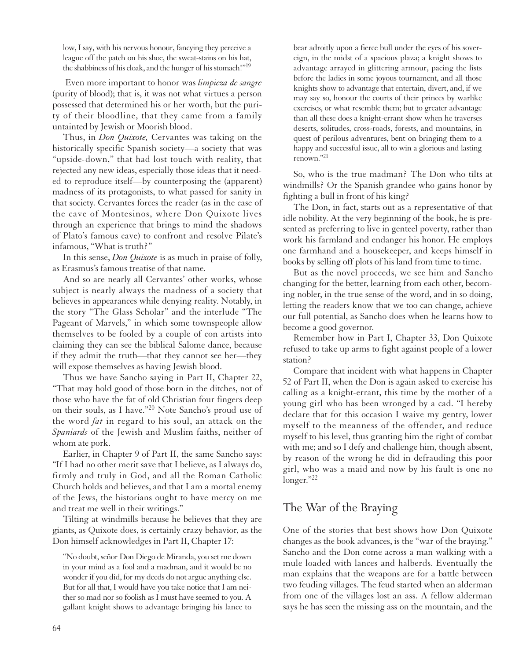low, I say, with his nervous honour, fancying they perceive a league off the patch on his shoe, the sweat-stains on his hat, the shabbiness of his cloak, and the hunger of his stomach!"19

Even more important to honor was *limpieza de sangre* (purity of blood); that is, it was not what virtues a person possessed that determined his or her worth, but the purity of their bloodline, that they came from a family untainted by Jewish or Moorish blood.

Thus, in *Don Quixote,* Cervantes was taking on the historically specific Spanish society—a society that was "upside-down," that had lost touch with reality, that rejected any new ideas, especially those ideas that it needed to reproduce itself—by counterposing the (apparent) madness of its protagonists, to what passed for sanity in that society. Cervantes forces the reader (as in the case of the cave of Montesinos, where Don Quixote lives through an experience that brings to mind the shadows of Plato's famous cave) to confront and resolve Pilate's infamous, "What is truth?"

In this sense, *Don Quixote* is as much in praise of folly, as Erasmus's famous treatise of that name.

And so are nearly all Cervantes' other works, whose subject is nearly always the madness of a society that believes in appearances while denying reality. Notably, in the story "The Glass Scholar" and the interlude "The Pageant of Marvels," in which some townspeople allow themselves to be fooled by a couple of con artists into claiming they can see the biblical Salome dance, because if they admit the truth—that they cannot see her—they will expose themselves as having Jewish blood.

Thus we have Sancho saying in Part II, Chapter 22, "That may hold good of those born in the ditches, not of those who have the fat of old Christian four fingers deep on their souls, as I have."<sup>20</sup> Note Sancho's proud use of the word *fat* in regard to his soul, an attack on the *Spaniards* of the Jewish and Muslim faiths, neither of whom ate pork.

Earlier, in Chapter 9 of Part II, the same Sancho says: "If I had no other merit save that I believe, as I always do, firmly and truly in God, and all the Roman Catholic Church holds and believes, and that I am a mortal enemy of the Jews, the historians ought to have mercy on me and treat me well in their writings."

Tilting at windmills because he believes that they are giants, as Quixote does, is certainly crazy behavior, as the Don himself acknowledges in Part II, Chapter 17:

"No doubt, señor Don Diego de Miranda, you set me down in your mind as a fool and a madman, and it would be no wonder if you did, for my deeds do not argue anything else. But for all that, I would have you take notice that I am neither so mad nor so foolish as I must have seemed to you. A gallant knight shows to advantage bringing his lance to bear adroitly upon a fierce bull under the eyes of his sovereign, in the midst of a spacious plaza; a knight shows to advantage arrayed in glittering armour, pacing the lists before the ladies in some joyous tournament, and all those knights show to advantage that entertain, divert, and, if we may say so, honour the courts of their princes by warlike exercises, or what resemble them; but to greater advantage than all these does a knight-errant show when he traverses deserts, solitudes, cross-roads, forests, and mountains, in quest of perilous adventures, bent on bringing them to a happy and successful issue, all to win a glorious and lasting renown."21

So, who is the true madman? The Don who tilts at windmills? Or the Spanish grandee who gains honor by fighting a bull in front of his king?

The Don, in fact, starts out as a representative of that idle nobility. At the very beginning of the book, he is presented as preferring to live in genteel poverty, rather than work his farmland and endanger his honor. He employs one farmhand and a housekeeper, and keeps himself in books by selling off plots of his land from time to time.

But as the novel proceeds, we see him and Sancho changing for the better, learning from each other, becoming nobler, in the true sense of the word, and in so doing, letting the readers know that we too can change, achieve our full potential, as Sancho does when he learns how to become a good governor.

Remember how in Part I, Chapter 33, Don Quixote refused to take up arms to fight against people of a lower station?

Compare that incident with what happens in Chapter 52 of Part II, when the Don is again asked to exercise his calling as a knight-errant, this time by the mother of a young girl who has been wronged by a cad. "I hereby declare that for this occasion I waive my gentry, lower myself to the meanness of the offender, and reduce myself to his level, thus granting him the right of combat with me; and so I defy and challenge him, though absent, by reason of the wrong he did in defrauding this poor girl, who was a maid and now by his fault is one no longer."22

### The War of the Braying

One of the stories that best shows how Don Quixote changes as the book advances, is the "war of the braying." Sancho and the Don come across a man walking with a mule loaded with lances and halberds. Eventually the man explains that the weapons are for a battle between two feuding villages. The feud started when an alderman from one of the villages lost an ass. A fellow alderman says he has seen the missing ass on the mountain, and the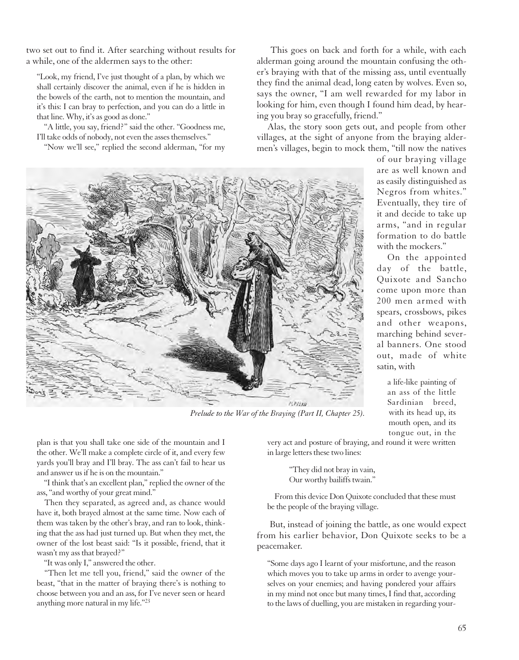two set out to find it. After searching without results for a while, one of the aldermen says to the other:

"Look, my friend, I've just thought of a plan, by which we shall certainly discover the animal, even if he is hidden in the bowels of the earth, not to mention the mountain, and it's this: I can bray to perfection, and you can do a little in that line. Why, it's as good as done."

"A little, you say, friend?" said the other. "Goodness me, I'll take odds of nobody, not even the asses themselves."

"Now we'll see," replied the second alderman, "for my

This goes on back and forth for a while, with each alderman going around the mountain confusing the other's braying with that of the missing ass, until eventually they find the animal dead, long eaten by wolves. Even so, says the owner, "I am well rewarded for my labor in looking for him, even though I found him dead, by hearing you bray so gracefully, friend."

Alas, the story soon gets out, and people from other villages, at the sight of anyone from the braying aldermen's villages, begin to mock them, "till now the natives



*Prelude to the War of the Braying (Part II, Chapter 25).*

plan is that you shall take one side of the mountain and I the other. We'll make a complete circle of it, and every few yards you'll bray and I'll bray. The ass can't fail to hear us and answer us if he is on the mountain."

"I think that's an excellent plan," replied the owner of the ass, "and worthy of your great mind."

Then they separated, as agreed and, as chance would have it, both brayed almost at the same time. Now each of them was taken by the other's bray, and ran to look, thinking that the ass had just turned up. But when they met, the owner of the lost beast said: "Is it possible, friend, that it wasn't my ass that brayed?"

"It was only I," answered the other.

"Then let me tell you, friend," said the owner of the beast, "that in the matter of braying there's is nothing to choose between you and an ass, for I've never seen or heard anything more natural in my life."23

are as well known and as easily distinguished as Negros from whites." Eventually, they tire of it and decide to take up arms, "and in regular formation to do battle with the mockers."

of our braying village

On the appointed day of the battle, Quixote and Sancho come upon more than 200 men armed with spears, crossbows, pikes and other weapons, marching behind several banners. One stood out, made of white satin, with

> a life-like painting of an ass of the little Sardinian breed, with its head up, its mouth open, and its tongue out, in the

very act and posture of braying, and round it were written in large letters these two lines:

> "They did not bray in vain, Our worthy bailiffs twain."

From this device Don Quixote concluded that these must be the people of the braying village.

But, instead of joining the battle, as one would expect from his earlier behavior, Don Quixote seeks to be a peacemaker.

"Some days ago I learnt of your misfortune, and the reason which moves you to take up arms in order to avenge yourselves on your enemies; and having pondered your affairs in my mind not once but many times, I find that, according to the laws of duelling, you are mistaken in regarding your-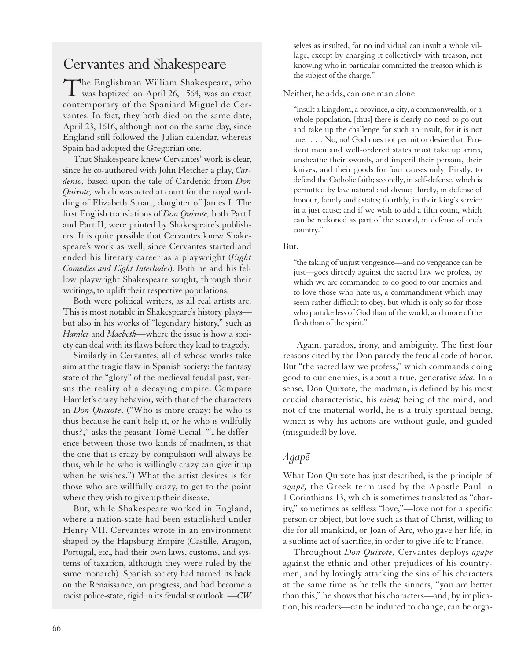## Cervantes and Shakespeare

The Englishman William Shakespeare, who was baptized on April 26, 1564, was an exact contemporary of the Spaniard Miguel de Cervantes. In fact, they both died on the same date, April 23, 1616, although not on the same day, since England still followed the Julian calendar, whereas Spain had adopted the Gregorian one.

That Shakespeare knew Cervantes' work is clear, since he co-authored with John Fletcher a play, *Cardenio,* based upon the tale of Cardenio from *Don Quixote,* which was acted at court for the royal wedding of Elizabeth Stuart, daughter of James I. The first English translations of *Don Quixote,* both Part I and Part II, were printed by Shakespeare's publishers. It is quite possible that Cervantes knew Shakespeare's work as well, since Cervantes started and ended his literary career as a playwright (*Eight Comedies and Eight Interludes*). Both he and his fellow playwright Shakespeare sought, through their writings, to uplift their respective populations.

Both were political writers, as all real artists are. This is most notable in Shakespeare's history plays but also in his works of "legendary history," such as *Hamlet* and *Macbeth—*where the issue is how a society can deal with its flaws before they lead to tragedy.

Similarly in Cervantes, all of whose works take aim at the tragic flaw in Spanish society: the fantasy state of the "glory" of the medieval feudal past, versus the reality of a decaying empire. Compare Hamlet's crazy behavior, with that of the characters in *Don Quixote*. ("Who is more crazy: he who is thus because he can't help it, or he who is willfully thus?," asks the peasant Tomé Cecial. "The difference between those two kinds of madmen, is that the one that is crazy by compulsion will always be thus, while he who is willingly crazy can give it up when he wishes.") What the artist desires is for those who are willfully crazy, to get to the point where they wish to give up their disease.

But, while Shakespeare worked in England, where a nation-state had been established under Henry VII, Cervantes wrote in an environment shaped by the Hapsburg Empire (Castille, Aragon, Portugal, etc., had their own laws, customs, and systems of taxation, although they were ruled by the same monarch). Spanish society had turned its back on the Renaissance, on progress, and had become a racist police-state, rigid in its feudalist outlook. *—CW*

selves as insulted, for no individual can insult a whole village, except by charging it collectively with treason, not knowing who in particular committed the treason which is the subject of the charge."

#### Neither, he adds, can one man alone

"insult a kingdom, a province, a city, a commonwealth, or a whole population, [thus] there is clearly no need to go out and take up the challenge for such an insult, for it is not one. . . . No, no! God noes not permit or desire that. Prudent men and well-ordered states must take up arms, unsheathe their swords, and imperil their persons, their knives, and their goods for four causes only. Firstly, to defend the Catholic faith; secondly, in self-defense, which is permitted by law natural and divine; thirdly, in defense of honour, family and estates; fourthly, in their king's service in a just cause; and if we wish to add a fifth count, which can be reckoned as part of the second, in defense of one's country."

But,

"the taking of unjust vengeance—and no vengeance can be just—goes directly against the sacred law we profess, by which we are commanded to do good to our enemies and to love those who hate us, a commandment which may seem rather difficult to obey, but which is only so for those who partake less of God than of the world, and more of the flesh than of the spirit."

Again, paradox, irony, and ambiguity. The first four reasons cited by the Don parody the feudal code of honor. But "the sacred law we profess," which commands doing good to our enemies, is about a true, generative *idea.* In a sense, Don Quixote, the madman, is defined by his most crucial characteristic, his *mind;* being of the mind, and not of the material world, he is a truly spiritual being, which is why his actions are without guile, and guided (misguided) by love.

### *Agape¯*

What Don Quixote has just described, is the principle of *agape*, the Greek term used by the Apostle Paul in 1 Corinthians 13, which is sometimes translated as "charity," sometimes as selfless "love,"—love not for a specific person or object, but love such as that of Christ, willing to die for all mankind, or Joan of Arc, who gave her life, in a sublime act of sacrifice, in order to give life to France.

Throughout *Don Quixote,* Cervantes deploys *agape¯* against the ethnic and other prejudices of his countrymen, and by lovingly attacking the sins of his characters at the same time as he tells the sinners, "you are better than this," he shows that his characters—and, by implication, his readers—can be induced to change, can be orga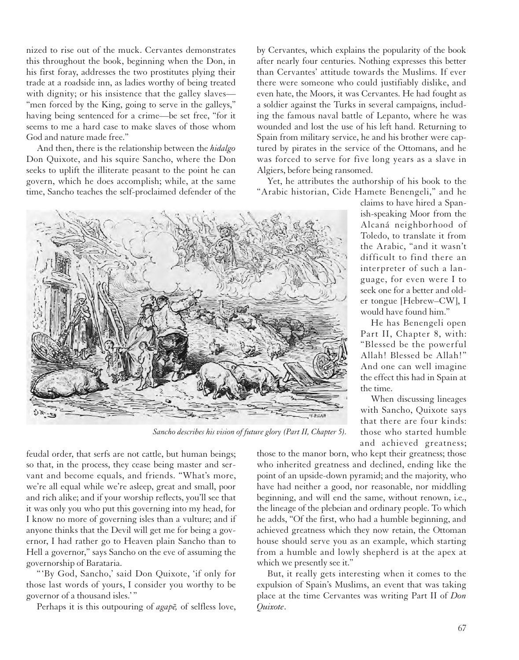nized to rise out of the muck. Cervantes demonstrates this throughout the book, beginning when the Don, in his first foray, addresses the two prostitutes plying their trade at a roadside inn, as ladies worthy of being treated with dignity; or his insistence that the galley slaves— "men forced by the King, going to serve in the galleys," having being sentenced for a crime—be set free, "for it seems to me a hard case to make slaves of those whom God and nature made free."

And then, there is the relationship between the *hidalgo* Don Quixote, and his squire Sancho, where the Don seeks to uplift the illiterate peasant to the point he can govern, which he does accomplish; while, at the same time, Sancho teaches the self-proclaimed defender of the by Cervantes, which explains the popularity of the book after nearly four centuries. Nothing expresses this better than Cervantes' attitude towards the Muslims. If ever there were someone who could justifiably dislike, and even hate, the Moors, it was Cervantes. He had fought as a soldier against the Turks in several campaigns, including the famous naval battle of Lepanto, where he was wounded and lost the use of his left hand. Returning to Spain from military service, he and his brother were captured by pirates in the service of the Ottomans, and he was forced to serve for five long years as a slave in Algiers, before being ransomed.

Yet, he attributes the authorship of his book to the "Arabic historian, Cide Hamete Benengeli," and he



*Sancho describes his vision of future glory (Part II, Chapter 5).*

feudal order, that serfs are not cattle, but human beings; so that, in the process, they cease being master and servant and become equals, and friends. "What's more, we're all equal while we're asleep, great and small, poor and rich alike; and if your worship reflects, you'll see that it was only you who put this governing into my head, for I know no more of governing isles than a vulture; and if anyone thinks that the Devil will get me for being a governor, I had rather go to Heaven plain Sancho than to Hell a governor," says Sancho on the eve of assuming the governorship of Barataria.

"'By God, Sancho,' said Don Quixote, 'if only for those last words of yours, I consider you worthy to be governor of a thousand isles.' "

Perhaps it is this outpouring of *agape*, of selfless love,

claims to have hired a Spanish-speaking Moor from the Alcaná neighborhood of Toledo, to translate it from the Arabic, "and it wasn't difficult to find there an interpreter of such a language, for even were I to seek one for a better and older tongue [Hebrew–CW], I would have found him."

He has Benengeli open Part II, Chapter 8, with: "Blessed be the powerful Allah! Blessed be Allah!" And one can well imagine the effect this had in Spain at the time.

When discussing lineages with Sancho, Quixote says that there are four kinds: those who started humble and achieved greatness;

those to the manor born, who kept their greatness; those who inherited greatness and declined, ending like the point of an upside-down pyramid; and the majority, who have had neither a good, nor reasonable, nor middling beginning, and will end the same, without renown, i.e., the lineage of the plebeian and ordinary people. To which he adds, "Of the first, who had a humble beginning, and achieved greatness which they now retain, the Ottoman house should serve you as an example, which starting from a humble and lowly shepherd is at the apex at which we presently see it."

But, it really gets interesting when it comes to the expulsion of Spain's Muslims, an event that was taking place at the time Cervantes was writing Part II of *Don Quixote*.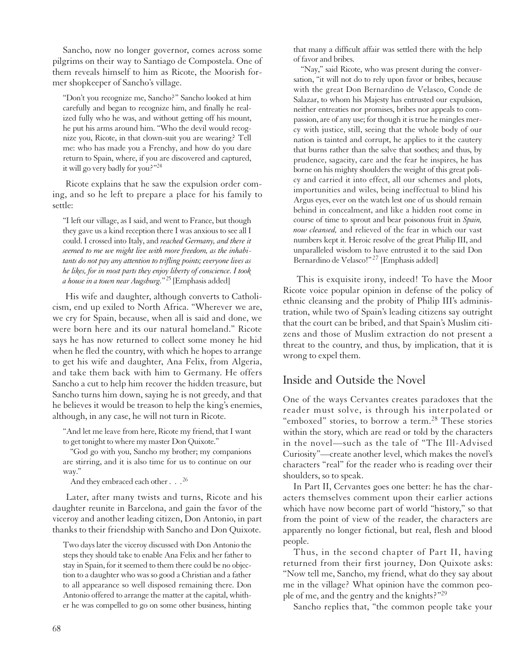Sancho, now no longer governor, comes across some pilgrims on their way to Santiago de Compostela. One of them reveals himself to him as Ricote, the Moorish former shopkeeper of Sancho's village.

"Don't you recognize me, Sancho?" Sancho looked at him carefully and began to recognize him, and finally he realized fully who he was, and without getting off his mount, he put his arms around him. "Who the devil would recognize you, Ricote, in that clown-suit you are wearing? Tell me: who has made you a Frenchy, and how do you dare return to Spain, where, if you are discovered and captured, it will go very badly for you?"<sup>24</sup>

Ricote explains that he saw the expulsion order coming, and so he left to prepare a place for his family to settle:

"I left our village, as I said, and went to France, but though they gave us a kind reception there I was anxious to see all I could. I crossed into Italy, and *reached Germany, and there it seemed to me we might live with more freedom, as the inhabitants do not pay any attention to trifling points; everyone lives as he likes, for in most parts they enjoy liberty of conscience. I took a house in a town near Augsburg.*"<sup>25</sup> [Emphasis added]

His wife and daughter, although converts to Catholicism, end up exiled to North Africa. "Wherever we are, we cry for Spain, because, when all is said and done, we were born here and its our natural homeland." Ricote says he has now returned to collect some money he hid when he fled the country, with which he hopes to arrange to get his wife and daughter, Ana Felix, from Algeria, and take them back with him to Germany. He offers Sancho a cut to help him recover the hidden treasure, but Sancho turns him down, saying he is not greedy, and that he believes it would be treason to help the king's enemies, although, in any case, he will not turn in Ricote.

"And let me leave from here, Ricote my friend, that I want to get tonight to where my master Don Quixote."

"God go with you, Sancho my brother; my companions are stirring, and it is also time for us to continue on our way."

And they embraced each other . . . <sup>26</sup>

Later, after many twists and turns, Ricote and his daughter reunite in Barcelona, and gain the favor of the viceroy and another leading citizen, Don Antonio, in part thanks to their friendship with Sancho and Don Quixote.

Two days later the viceroy discussed with Don Antonio the steps they should take to enable Ana Felix and her father to stay in Spain, for it seemed to them there could be no objection to a daughter who was so good a Christian and a father to all appearance so well disposed remaining there. Don Antonio offered to arrange the matter at the capital, whither he was compelled to go on some other business, hinting

that many a difficult affair was settled there with the help of favor and bribes.

"Nay," said Ricote, who was present during the conversation, "it will not do to rely upon favor or bribes, because with the great Don Bernardino de Velasco, Conde de Salazar, to whom his Majesty has entrusted our expulsion, neither entreaties nor promises, bribes nor appeals to compassion, are of any use; for though it is true he mingles mercy with justice, still, seeing that the whole body of our nation is tainted and corrupt, he applies to it the cautery that burns rather than the salve that soothes; and thus, by prudence, sagacity, care and the fear he inspires, he has borne on his mighty shoulders the weight of this great policy and carried it into effect, all our schemes and plots, importunities and wiles, being ineffectual to blind his Argus eyes, ever on the watch lest one of us should remain behind in concealment, and like a hidden root come in course of time to sprout and bear poisonous fruit in *Spain, now cleansed,* and relieved of the fear in which our vast numbers kept it. Heroic resolve of the great Philip III, and unparalleled wisdom to have entrusted it to the said Don Bernardino de Velasco!"<sup>27</sup> [Emphasis added]

This is exquisite irony, indeed! To have the Moor Ricote voice popular opinion in defense of the policy of ethnic cleansing and the probity of Philip III's administration, while two of Spain's leading citizens say outright that the court can be bribed, and that Spain's Muslim citizens and those of Muslim extraction do not present a threat to the country, and thus, by implication, that it is wrong to expel them.

#### Inside and Outside the Novel

One of the ways Cervantes creates paradoxes that the reader must solve, is through his interpolated or "emboxed" stories, to borrow a term.<sup>28</sup> These stories within the story, which are read or told by the characters in the novel—such as the tale of "The Ill-Advised Curiosity"—create another level, which makes the novel's characters "real" for the reader who is reading over their shoulders, so to speak.

In Part II, Cervantes goes one better: he has the characters themselves comment upon their earlier actions which have now become part of world "history," so that from the point of view of the reader, the characters are apparently no longer fictional, but real, flesh and blood people.

Thus, in the second chapter of Part II, having returned from their first journey, Don Quixote asks: "Now tell me, Sancho, my friend, what do they say about me in the village? What opinion have the common people of me, and the gentry and the knights?"29

Sancho replies that, "the common people take your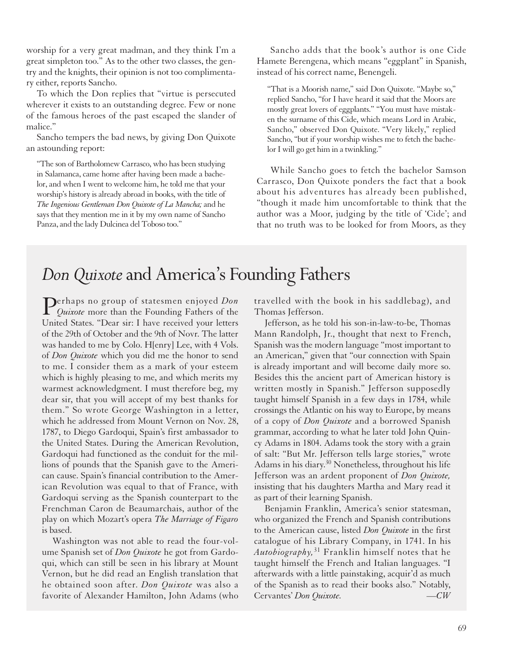worship for a very great madman, and they think I'm a great simpleton too." As to the other two classes, the gentry and the knights, their opinion is not too complimentary either, reports Sancho.

To which the Don replies that "virtue is persecuted wherever it exists to an outstanding degree. Few or none of the famous heroes of the past escaped the slander of malice."

Sancho tempers the bad news, by giving Don Quixote an astounding report:

"The son of Bartholomew Carrasco, who has been studying in Salamanca, came home after having been made a bachelor, and when I went to welcome him, he told me that your worship's history is already abroad in books, with the title of *The Ingenious Gentleman Don Quixote of La Mancha;* and he says that they mention me in it by my own name of Sancho Panza, and the lady Dulcinea del Toboso too."

Sancho adds that the book's author is one Cide Hamete Berengena, which means "eggplant" in Spanish, instead of his correct name, Benengeli.

"That is a Moorish name," said Don Quixote. "Maybe so," replied Sancho, "for I have heard it said that the Moors are mostly great lovers of eggplants." "You must have mistaken the surname of this Cide, which means Lord in Arabic, Sancho," observed Don Quixote. "Very likely," replied Sancho, "but if your worship wishes me to fetch the bachelor I will go get him in a twinkling."

While Sancho goes to fetch the bachelor Samson Carrasco, Don Quixote ponders the fact that a book about his adventures has already been published, "though it made him uncomfortable to think that the author was a Moor, judging by the title of 'Cide'; and that no truth was to be looked for from Moors, as they

# *Don Quixote*and America's Founding Fathers

**Perhaps no group of statesmen enjoyed** *Don*<br>*Quixote* more than the Founding Fathers of the United States. "Dear sir: I have received your letters of the 29th of October and the 9th of Novr. The latter was handed to me by Colo. H[enry] Lee, with 4 Vols. of *Don Quixote* which you did me the honor to send to me. I consider them as a mark of your esteem which is highly pleasing to me, and which merits my warmest acknowledgment. I must therefore beg, my dear sir, that you will accept of my best thanks for them." So wrote George Washington in a letter, which he addressed from Mount Vernon on Nov. 28, 1787, to Diego Gardoqui, Spain's first ambassador to the United States. During the American Revolution, Gardoqui had functioned as the conduit for the millions of pounds that the Spanish gave to the American cause. Spain's financial contribution to the American Revolution was equal to that of France, with Gardoqui serving as the Spanish counterpart to the Frenchman Caron de Beaumarchais, author of the play on which Mozart's opera *The Marriage of Figaro* is based.

Washington was not able to read the four-volume Spanish set of *Don Quixote* he got from Gardoqui, which can still be seen in his library at Mount Vernon, but he did read an English translation that he obtained soon after. *Don Quixote* was also a favorite of Alexander Hamilton, John Adams (who travelled with the book in his saddlebag), and Thomas Jefferson.

Jefferson, as he told his son-in-law-to-be, Thomas Mann Randolph, Jr., thought that next to French, Spanish was the modern language "most important to an American," given that "our connection with Spain is already important and will become daily more so. Besides this the ancient part of American history is written mostly in Spanish." Jefferson supposedly taught himself Spanish in a few days in 1784, while crossings the Atlantic on his way to Europe, by means of a copy of *Don Quixote* and a borrowed Spanish grammar, according to what he later told John Quincy Adams in 1804. Adams took the story with a grain of salt: "But Mr. Jefferson tells large stories," wrote Adams in his diary. <sup>30</sup> Nonetheless, throughout his life Jefferson was an ardent proponent of *Don Quixote,* insisting that his daughters Martha and Mary read it as part of their learning Spanish.

Benjamin Franklin, America's senior statesman, who organized the French and Spanish contributions to the American cause, listed *Don Quixote* in the first catalogue of his Library Company, in 1741. In his *Autobiography,* <sup>31</sup> Franklin himself notes that he taught himself the French and Italian languages. "I afterwards with a little painstaking, acquir'd as much of the Spanish as to read their books also." Notably, Cervantes' *Don Quixote. —CW*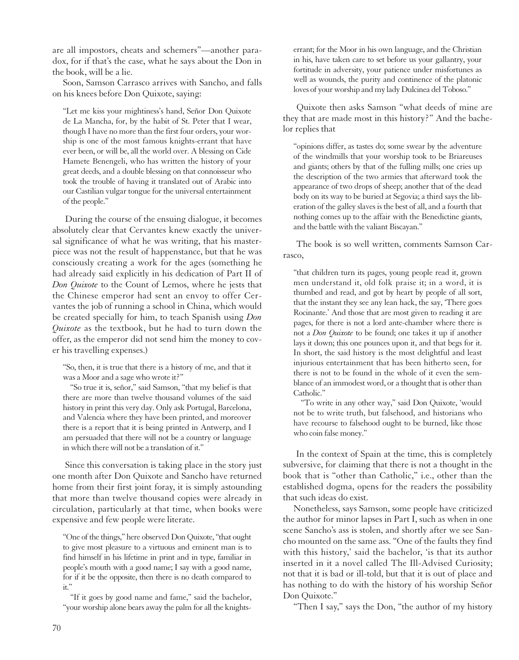are all impostors, cheats and schemers"—another paradox, for if that's the case, what he says about the Don in the book, will be a lie.

Soon, Samson Carrasco arrives with Sancho, and falls on his knees before Don Quixote, saying:

"Let me kiss your mightiness's hand, Señor Don Quixote de La Mancha, for, by the habit of St. Peter that I wear, though I have no more than the first four orders, your worship is one of the most famous knights-errant that have ever been, or will be, all the world over. A blessing on Cide Hamete Benengeli, who has written the history of your great deeds, and a double blessing on that connoisseur who took the trouble of having it translated out of Arabic into our Castilian vulgar tongue for the universal entertainment of the people."

During the course of the ensuing dialogue, it becomes absolutely clear that Cervantes knew exactly the universal significance of what he was writing, that his masterpiece was not the result of happenstance, but that he was consciously creating a work for the ages (something he had already said explicitly in his dedication of Part II of *Don Quixote* to the Count of Lemos, where he jests that the Chinese emperor had sent an envoy to offer Cervantes the job of running a school in China, which would be created specially for him, to teach Spanish using *Don Quixote* as the textbook, but he had to turn down the offer, as the emperor did not send him the money to cover his travelling expenses.)

"So, then, it is true that there is a history of me, and that it was a Moor and a sage who wrote it?"

"So true it is, señor," said Samson, "that my belief is that there are more than twelve thousand volumes of the said history in print this very day. Only ask Portugal, Barcelona, and Valencia where they have been printed, and moreover there is a report that it is being printed in Antwerp, and I am persuaded that there will not be a country or language in which there will not be a translation of it."

Since this conversation is taking place in the story just one month after Don Quixote and Sancho have returned home from their first joint foray, it is simply astounding that more than twelve thousand copies were already in circulation, particularly at that time, when books were expensive and few people were literate.

"One of the things," here observed Don Quixote, "that ought to give most pleasure to a virtuous and eminent man is to find himself in his lifetime in print and in type, familiar in people's mouth with a good name; I say with a good name, for if it be the opposite, then there is no death compared to it."

"If it goes by good name and fame," said the bachelor, "your worship alone bears away the palm for all the knightserrant; for the Moor in his own language, and the Christian in his, have taken care to set before us your gallantry, your fortitude in adversity, your patience under misfortunes as well as wounds, the purity and continence of the platonic loves of your worship and my lady Dulcinea del Toboso."

Quixote then asks Samson "what deeds of mine are they that are made most in this history?" And the bachelor replies that

"opinions differ, as tastes do; some swear by the adventure of the windmills that your worship took to be Briareuses and giants; others by that of the fulling mills; one cries up the description of the two armies that afterward took the appearance of two drops of sheep; another that of the dead body on its way to be buried at Segovia; a third says the liberation of the galley slaves is the best of all, and a fourth that nothing comes up to the affair with the Benedictine giants, and the battle with the valiant Biscayan."

The book is so well written, comments Samson Carrasco,

"that children turn its pages, young people read it, grown men understand it, old folk praise it; in a word, it is thumbed and read, and got by heart by people of all sort, that the instant they see any lean hack, the say, 'There goes Rocinante.' And those that are most given to reading it are pages, for there is not a lord ante-chamber where there is not a *Don Quixote* to be found; one takes it up if another lays it down; this one pounces upon it, and that begs for it. In short, the said history is the most delightful and least injurious entertainment that has been hitherto seen, for there is not to be found in the whole of it even the semblance of an immodest word, or a thought that is other than Catholic."

"To write in any other way," said Don Quixote, 'would not be to write truth, but falsehood, and historians who have recourse to falsehood ought to be burned, like those who coin false money."

In the context of Spain at the time, this is completely subversive, for claiming that there is not a thought in the book that is "other than Catholic," i.e., other than the established dogma, opens for the readers the possibility that such ideas do exist.

Nonetheless, says Samson, some people have criticized the author for minor lapses in Part I, such as when in one scene Sancho's ass is stolen, and shortly after we see Sancho mounted on the same ass. "One of the faults they find with this history,' said the bachelor, 'is that its author inserted in it a novel called The Ill-Advised Curiosity; not that it is bad or ill-told, but that it is out of place and has nothing to do with the history of his worship Señor Don Quixote."

"Then I say," says the Don, "the author of my history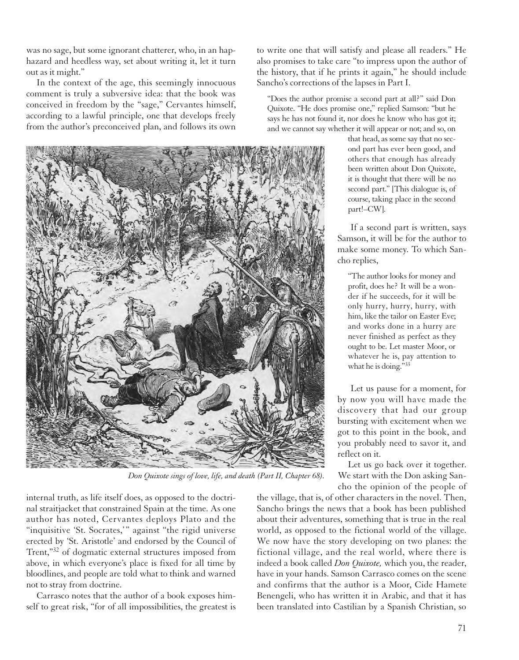was no sage, but some ignorant chatterer, who, in an haphazard and heedless way, set about writing it, let it turn out as it might."

In the context of the age, this seemingly innocuous comment is truly a subversive idea: that the book was conceived in freedom by the "sage," Cervantes himself, according to a lawful principle, one that develops freely from the author's preconceived plan, and follows its own



*Don Quixote sings of love, life, and death (Part II, Chapter 68).*

internal truth, as life itself does, as opposed to the doctrinal straitjacket that constrained Spain at the time. As one author has noted, Cervantes deploys Plato and the "inquisitive 'St. Socrates,'" against "the rigid universe erected by 'St. Aristotle' and endorsed by the Council of Trent,"<sup>32</sup> of dogmatic external structures imposed from above, in which everyone's place is fixed for all time by bloodlines, and people are told what to think and warned not to stray from doctrine.

Carrasco notes that the author of a book exposes himself to great risk, "for of all impossibilities, the greatest is to write one that will satisfy and please all readers." He also promises to take care "to impress upon the author of the history, that if he prints it again," he should include Sancho's corrections of the lapses in Part I.

"Does the author promise a second part at all?" said Don Quixote. "He does promise one," replied Samson: "but he says he has not found it, nor does he know who has got it; and we cannot say whether it will appear or not; and so, on

> that head, as some say that no second part has ever been good, and others that enough has already been written about Don Quixote, it is thought that there will be no second part." [This dialogue is, of course, taking place in the second part!–CW].

If a second part is written, says Samson, it will be for the author to make some money. To which Sancho replies,

"The author looks for money and profit, does he? It will be a wonder if he succeeds, for it will be only hurry, hurry, hurry, with him, like the tailor on Easter Eve; and works done in a hurry are never finished as perfect as they ought to be. Let master Moor, or whatever he is, pay attention to what he is doing."33

Let us pause for a moment, for by now you will have made the discovery that had our group bursting with excitement when we got to this point in the book, and you probably need to savor it, and reflect on it.

Let us go back over it together. We start with the Don asking Sancho the opinion of the people of

the village, that is, of other characters in the novel. Then, Sancho brings the news that a book has been published about their adventures, something that is true in the real world, as opposed to the fictional world of the village. We now have the story developing on two planes: the fictional village, and the real world, where there is indeed a book called *Don Quixote,* which you, the reader, have in your hands. Samson Carrasco comes on the scene and confirms that the author is a Moor, Cide Hamete Benengeli, who has written it in Arabic, and that it has been translated into Castilian by a Spanish Christian, so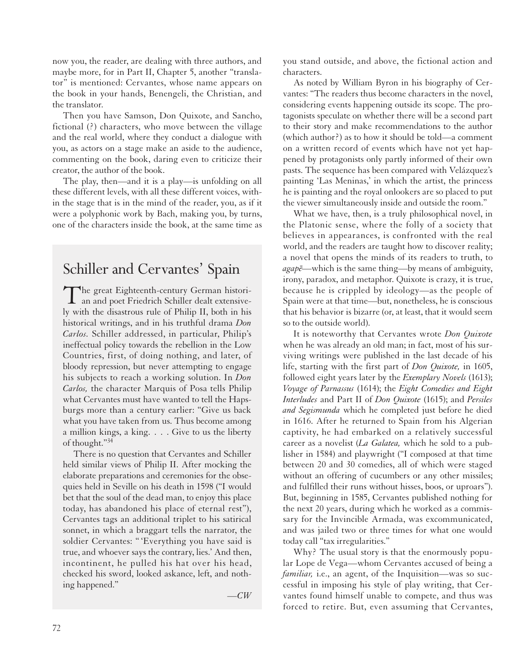now you, the reader, are dealing with three authors, and maybe more, for in Part II, Chapter 5, another "translator" is mentioned: Cervantes, whose name appears on the book in your hands, Benengeli, the Christian, and the translator.

Then you have Samson, Don Quixote, and Sancho, fictional (?) characters, who move between the village and the real world, where they conduct a dialogue with you, as actors on a stage make an aside to the audience, commenting on the book, daring even to criticize their creator, the author of the book.

The play, then—and it is a play—is unfolding on all these different levels, with all these different voices, within the stage that is in the mind of the reader, you, as if it were a polyphonic work by Bach, making you, by turns, one of the characters inside the book, at the same time as

## Schiller and Cervantes' Spain

The great Eighteenth-century German histori-an and poet Friedrich Schiller dealt extensively with the disastrous rule of Philip II, both in his historical writings, and in his truthful drama *Don Carlos.* Schiller addressed, in particular, Philip's ineffectual policy towards the rebellion in the Low Countries, first, of doing nothing, and later, of bloody repression, but never attempting to engage his subjects to reach a working solution. In *Don Carlos,* the character Marquis of Posa tells Philip what Cervantes must have wanted to tell the Hapsburgs more than a century earlier: "Give us back what you have taken from us. Thus become among a million kings, a king. . . . Give to us the liberty of thought."34

There is no question that Cervantes and Schiller held similar views of Philip II. After mocking the elaborate preparations and ceremonies for the obsequies held in Seville on his death in 1598 ("I would bet that the soul of the dead man, to enjoy this place today, has abandoned his place of eternal rest"), Cervantes tags an additional triplet to his satirical sonnet, in which a braggart tells the narrator, the soldier Cervantes: " 'Everything you have said is true, and whoever says the contrary, lies.' And then, incontinent, he pulled his hat over his head, checked his sword, looked askance, left, and nothing happened."

*—CW*

you stand outside, and above, the fictional action and characters.

As noted by William Byron in his biography of Cervantes: "The readers thus become characters in the novel, considering events happening outside its scope. The protagonists speculate on whether there will be a second part to their story and make recommendations to the author (which author?) as to how it should be told—a comment on a written record of events which have not yet happened by protagonists only partly informed of their own pasts. The sequence has been compared with Velázquez's painting 'Las Meninas,' in which the artist, the princess he is painting and the royal onlookers are so placed to put the viewer simultaneously inside and outside the room."

What we have, then, is a truly philosophical novel, in the Platonic sense, where the folly of a society that believes in appearances, is confronted with the real world, and the readers are taught how to discover reality; a novel that opens the minds of its readers to truth, to *agape¯*—which is the same thing—by means of ambiguity, irony, paradox, and metaphor. Quixote is crazy, it is true, because he is crippled by ideology—as the people of Spain were at that time—but, nonetheless, he is conscious that his behavior is bizarre (or, at least, that it would seem so to the outside world).

It is noteworthy that Cervantes wrote *Don Quixote* when he was already an old man; in fact, most of his surviving writings were published in the last decade of his life, starting with the first part of *Don Quixote,* in 1605, followed eight years later by the *Exemplary Novels* (1613); *Voyage of Parnassus* (1614); the *Eight Comedies and Eight Interludes* and Part II of *Don Quixote* (1615); and *Persiles and Segismunda* which he completed just before he died in 1616. After he returned to Spain from his Algerian captivity, he had embarked on a relatively successful career as a novelist (*La Galatea,* which he sold to a publisher in 1584) and playwright ("I composed at that time between 20 and 30 comedies, all of which were staged without an offering of cucumbers or any other missiles; and fulfilled their runs without hisses, boos, or uproars"). But, beginning in 1585, Cervantes published nothing for the next 20 years, during which he worked as a commissary for the Invincible Armada, was excommunicated, and was jailed two or three times for what one would today call "tax irregularities."

Why? The usual story is that the enormously popular Lope de Vega—whom Cervantes accused of being a *familiar,* i.e., an agent, of the Inquisition—was so successful in imposing his style of play writing, that Cervantes found himself unable to compete, and thus was forced to retire. But, even assuming that Cervantes,